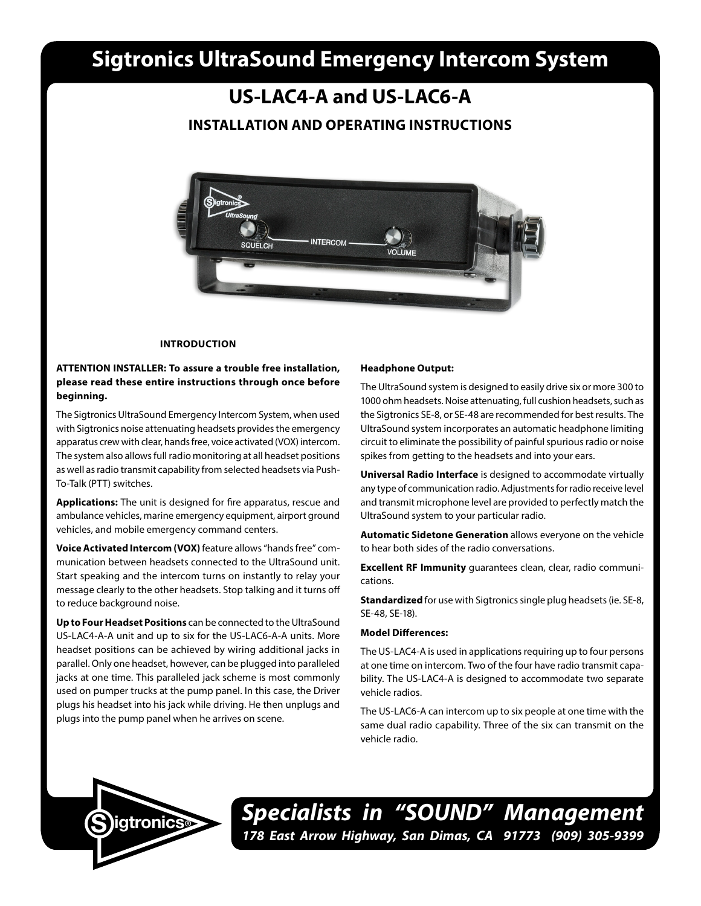# **Sigtronics UltraSound Emergency Intercom System**

**US-LAC4-A and US-LAC6-A INSTALLATION AND OPERATING INSTRUCTIONS**

# **INTERCOM** QUELCH VOI I IME

# **INTRODUCTION**

# **ATTENTION INSTALLER: To assure a trouble free installation, please read these entire instructions through once before beginning.**

The Sigtronics UltraSound Emergency Intercom System, when used with Sigtronics noise attenuating headsets provides the emergency apparatus crew with clear, hands free, voice activated (VOX) intercom. The system also allows full radio monitoring at all headset positions as well as radio transmit capability from selected headsets via Push-To-Talk (PTT) switches.

**Applications:** The unit is designed for fire apparatus, rescue and ambulance vehicles, marine emergency equipment, airport ground vehicles, and mobile emergency command centers.

**Voice Activated Intercom (VOX)** feature allows "hands free" communication between headsets connected to the UltraSound unit. Start speaking and the intercom turns on instantly to relay your message clearly to the other headsets. Stop talking and it turns off to reduce background noise.

**Up to Four Headset Positions** can be connected to the UltraSound US-LAC4-A-A unit and up to six for the US-LAC6-A-A units. More headset positions can be achieved by wiring additional jacks in parallel. Only one headset, however, can be plugged into paralleled jacks at one time. This paralleled jack scheme is most commonly used on pumper trucks at the pump panel. In this case, the Driver plugs his headset into his jack while driving. He then unplugs and plugs into the pump panel when he arrives on scene.

#### **Headphone Output:**

The UltraSound system is designed to easily drive six or more 300 to 1000 ohm headsets. Noise attenuating, full cushion headsets, such as the Sigtronics SE-8, or SE-48 are recommended for best results. The UltraSound system incorporates an automatic headphone limiting circuit to eliminate the possibility of painful spurious radio or noise spikes from getting to the headsets and into your ears.

**Universal Radio Interface** is designed to accommodate virtually any type of communication radio. Adjustments for radio receive level and transmit microphone level are provided to perfectly match the UltraSound system to your particular radio.

**Automatic Sidetone Generation** allows everyone on the vehicle to hear both sides of the radio conversations.

**Excellent RF Immunity** guarantees clean, clear, radio communications.

**Standardized** for use with Sigtronics single plug headsets (ie. SE-8, SE-48, SE-18).

# **Model Differences:**

The US-LAC4-A is used in applications requiring up to four persons at one time on intercom. Two of the four have radio transmit capability. The US-LAC4-A is designed to accommodate two separate vehicle radios.

The US-LAC6-A can intercom up to six people at one time with the same dual radio capability. Three of the six can transmit on the vehicle radio.



*Specialists in "SOUND" Management* **178 East Arrow Highway, San Dimas, CA 91773 (909) 305-9399 SOCKER 178 East Arrow Highway, San Dimas, CA 91773** (909) 305-9399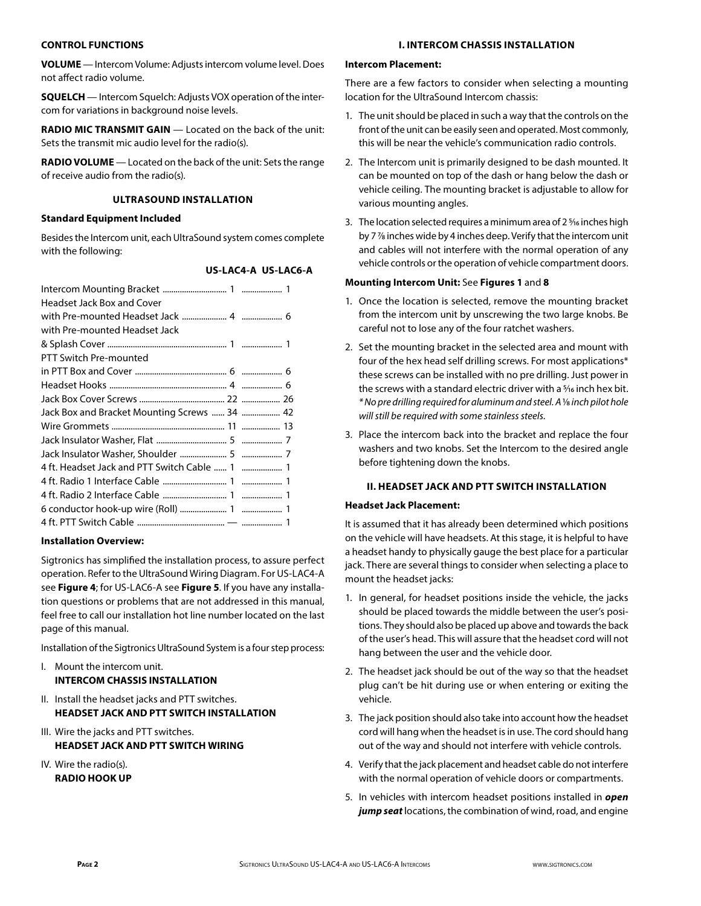# **CONTROL FUNCTIONS**

**VOLUME** — Intercom Volume: Adjusts intercom volume level. Does not affect radio volume.

**SQUELCH** — Intercom Squelch: Adjusts VOX operation of the intercom for variations in background noise levels.

**RADIO MIC TRANSMIT GAIN** — Located on the back of the unit: Sets the transmit mic audio level for the radio(s).

**RADIO VOLUME** — Located on the back of the unit: Sets the range of receive audio from the radio(s).

# **ULTRASOUND INSTALLATION**

# **Standard Equipment Included**

Besides the Intercom unit, each UltraSound system comes complete with the following:

# **US-LAC4-A US-LAC6-A**

| <b>Headset Jack Box and Cover</b>             |  |
|-----------------------------------------------|--|
|                                               |  |
| with Pre-mounted Headset Jack                 |  |
|                                               |  |
| PTT Switch Pre-mounted                        |  |
|                                               |  |
|                                               |  |
|                                               |  |
| Jack Box and Bracket Mounting Screws  34  42  |  |
|                                               |  |
|                                               |  |
|                                               |  |
| 4 ft. Headset Jack and PTT Switch Cable  1  1 |  |
|                                               |  |
|                                               |  |
|                                               |  |
|                                               |  |

# **Installation Overview:**

Sigtronics has simplified the installation process, to assure perfect operation. Refer to the UltraSound Wiring Diagram. For US-LAC4-A see **Figure 4**; for US-LAC6-A see **Figure 5**. If you have any installation questions or problems that are not addressed in this manual, feel free to call our installation hot line number located on the last page of this manual.

Installation of the Sigtronics UltraSound System is a four step process:

- I. Mount the intercom unit. **INTERCOM CHASSIS INSTALLATION**
- II. Install the headset jacks and PTT switches. **HEADSET JACK AND PTT SWITCH INSTALLATION**
- III. Wire the jacks and PTT switches. **HEADSET JACK AND PTT SWITCH WIRING**
- IV. Wire the radio(s). **RADIO HOOK UP**

# **I. INTERCOM CHASSIS INSTALLATION**

# **Intercom Placement:**

There are a few factors to consider when selecting a mounting location for the UltraSound Intercom chassis:

- 1. The unit should be placed in such a way that the controls on the front of the unit can be easily seen and operated. Most commonly, this will be near the vehicle's communication radio controls.
- 2. The Intercom unit is primarily designed to be dash mounted. It can be mounted on top of the dash or hang below the dash or vehicle ceiling. The mounting bracket is adjustable to allow for various mounting angles.
- 3. The location selected requires a minimum area of 2 <sup>5</sup>/16 inches high by 7 7⁄8 inches wide by 4 inches deep. Verify that the intercom unit and cables will not interfere with the normal operation of any vehicle controls or the operation of vehicle compartment doors.

# **Mounting Intercom Unit:** See **Figures 1** and **8**

- 1. Once the location is selected, remove the mounting bracket from the intercom unit by unscrewing the two large knobs. Be careful not to lose any of the four ratchet washers.
- 2. Set the mounting bracket in the selected area and mount with four of the hex head self drilling screws. For most applications\* these screws can be installed with no pre drilling. Just power in the screws with a standard electric driver with a 5/16 inch hex bit. *\* No pre drilling required for aluminum and steel. A* 1⁄8 *inch pilot hole will still be required with some stainless steels.*
- 3. Place the intercom back into the bracket and replace the four washers and two knobs. Set the Intercom to the desired angle before tightening down the knobs.

# **II. HEADSET JACK AND PTT SWITCH INSTALLATION**

# **Headset Jack Placement:**

It is assumed that it has already been determined which positions on the vehicle will have headsets. At this stage, it is helpful to have a headset handy to physically gauge the best place for a particular jack. There are several things to consider when selecting a place to mount the headset jacks:

- 1. In general, for headset positions inside the vehicle, the jacks should be placed towards the middle between the user's positions. They should also be placed up above and towards the back of the user's head. This will assure that the headset cord will not hang between the user and the vehicle door.
- 2. The headset jack should be out of the way so that the headset plug can't be hit during use or when entering or exiting the vehicle.
- 3. The jack position should also take into account how the headset cord will hang when the headset is in use. The cord should hang out of the way and should not interfere with vehicle controls.
- 4. Verify that the jack placement and headset cable do not interfere with the normal operation of vehicle doors or compartments.
- 5. In vehicles with intercom headset positions installed in *open jump seat* locations, the combination of wind, road, and engine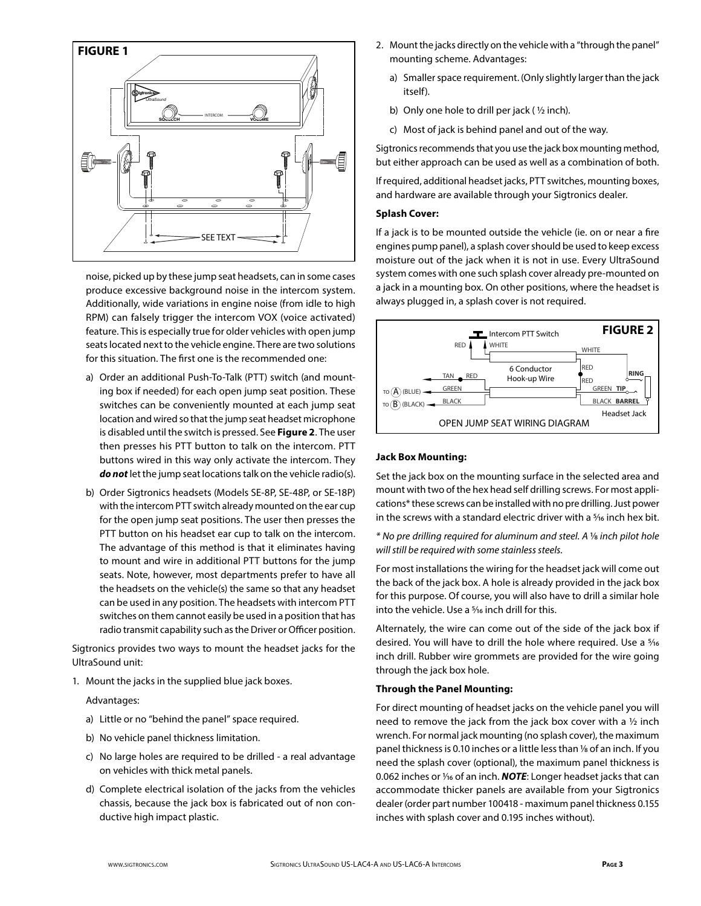

noise, picked up by these jump seat headsets, can in some cases produce excessive background noise in the intercom system. Additionally, wide variations in engine noise (from idle to high RPM) can falsely trigger the intercom VOX (voice activated) feature. This is especially true for older vehicles with open jump seats located next to the vehicle engine. There are two solutions for this situation. The first one is the recommended one:

- a) Order an additional Push-To-Talk (PTT) switch (and mounting box if needed) for each open jump seat position. These switches can be conveniently mounted at each jump seat location and wired so that the jump seat headset microphone is disabled until the switch is pressed. See **Figure 2**. The user then presses his PTT button to talk on the intercom. PTT buttons wired in this way only activate the intercom. They *do not* let the jump seat locations talk on the vehicle radio(s).
- b) Order Sigtronics headsets (Models SE-8P, SE-48P, or SE-18P) with the intercom PTT switch already mounted on the ear cup for the open jump seat positions. The user then presses the PTT button on his headset ear cup to talk on the intercom. The advantage of this method is that it eliminates having to mount and wire in additional PTT buttons for the jump seats. Note, however, most departments prefer to have all the headsets on the vehicle(s) the same so that any headset can be used in any position. The headsets with intercom PTT switches on them cannot easily be used in a position that has radio transmit capability such as the Driver or Officer position.

Sigtronics provides two ways to mount the headset jacks for the UltraSound unit:

1. Mount the jacks in the supplied blue jack boxes.

#### Advantages:

- a) Little or no "behind the panel" space required.
- b) No vehicle panel thickness limitation.
- c) No large holes are required to be drilled a real advantage on vehicles with thick metal panels.
- d) Complete electrical isolation of the jacks from the vehicles chassis, because the jack box is fabricated out of non conductive high impact plastic.
- 2. Mount the jacks directly on the vehicle with a "through the panel" mounting scheme. Advantages:
	- a) Smaller space requirement. (Only slightly larger than the jack itself).
	- b) Only one hole to drill per jack ( $\frac{1}{2}$  inch).
	- c) Most of jack is behind panel and out of the way.

Sigtronics recommends that you use the jack box mounting method, but either approach can be used as well as a combination of both.

If required, additional headset jacks, PTT switches, mounting boxes, and hardware are available through your Sigtronics dealer.

# **Splash Cover:**

If a jack is to be mounted outside the vehicle (ie. on or near a fire engines pump panel), a splash cover should be used to keep excess moisture out of the jack when it is not in use. Every UltraSound system comes with one such splash cover already pre-mounted on a jack in a mounting box. On other positions, where the headset is always plugged in, a splash cover is not required.



# **Jack Box Mounting:**

Set the jack box on the mounting surface in the selected area and mount with two of the hex head self drilling screws. For most applications\* these screws can be installed with no pre drilling. Just power in the screws with a standard electric driver with a  $\frac{5}{16}$  inch hex bit.

*\* No pre drilling required for aluminum and steel. A* 1⁄8 *inch pilot hole wo pre anning required for didimition and steel. A s*<br>
will still be required with some stainless steels.

For most installations the wiring for the headset jack will come out the back of the jack box. A hole is already provided in the jack box for this purpose. Of course, you will also have to drill a similar hole into the vehicle. Use a 5/16 inch drill for this.

Alternately, the wire can come out of the side of the jack box if desired. You will have to drill the hole where required. Use a 5⁄16 inch drill. Rubber wire grommets are provided for the wire going through the jack box hole.

# **Through the Panel Mounting:**

For direct mounting of headset jacks on the vehicle panel you will need to remove the jack from the jack box cover with a ½ inch wrench. For normal jack mounting (no splash cover), the maximum panel thickness is 0.10 inches or a little less than 1/8 of an inch. If you need the splash cover (optional), the maximum panel thickness is 0.062 inches or 1/<sub>16</sub> of an inch. **NOTE**: Longer headset jacks that can accommodate thicker panels are available from your Sigtronics dealer (order part number 100418 - maximum panel thickness 0.155 inches with splash cover and 0.195 inches without).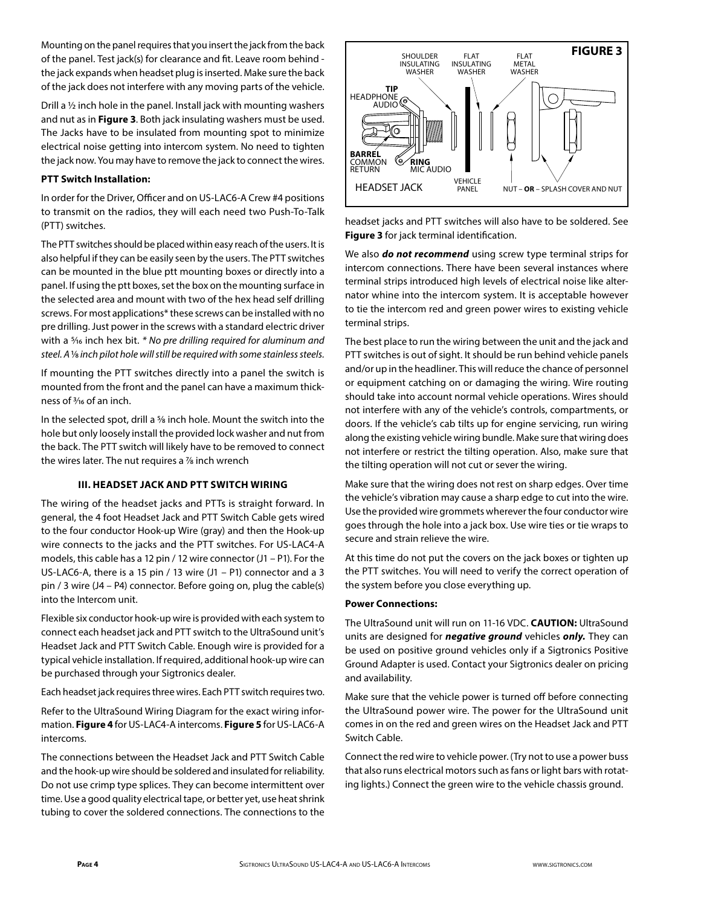Mounting on the panel requires that you insert the jack from the back of the panel. Test jack(s) for clearance and fit. Leave room behind the jack expands when headset plug is inserted. Make sure the back of the jack does not interfere with any moving parts of the vehicle.

Drill a ½ inch hole in the panel. Install jack with mounting washers and nut as in **Figure 3**. Both jack insulating washers must be used. The Jacks have to be insulated from mounting spot to minimize electrical noise getting into intercom system. No need to tighten the jack now. You may have to remove the jack to connect the wires.

# **PTT Switch Installation:**

In order for the Driver, Officer and on US-LAC6-A Crew #4 positions to transmit on the radios, they will each need two Push-To-Talk (PTT) switches.

The PTT switches should be placed within easy reach of the users. It is also helpful if they can be easily seen by the users. The PTT switches can be mounted in the blue ptt mounting boxes or directly into a panel. If using the ptt boxes, set the box on the mounting surface in the selected area and mount with two of the hex head self drilling screws. For most applications\* these screws can be installed with no pre drilling. Just power in the screws with a standard electric driver with a 5⁄16 inch hex bit. *\* No pre drilling required for aluminum and steel. A* 1⁄8 *inch pilot hole will still be required with some stainless steels.*

If mounting the PTT switches directly into a panel the switch is mounted from the front and the panel can have a maximum thickness of 3⁄16 of an inch.

In the selected spot, drill a <sup>5</sup>% inch hole. Mount the switch into the hole but only loosely install the provided lock washer and nut from the back. The PTT switch will likely have to be removed to connect the wires later. The nut requires a 1/8 inch wrench

#### **III. HEADSET JACK AND PTT SWITCH WIRING**

The wiring of the headset jacks and PTTs is straight forward. In general, the 4 foot Headset Jack and PTT Switch Cable gets wired to the four conductor Hook-up Wire (gray) and then the Hook-up wire connects to the jacks and the PTT switches. For US-LAC4-A models, this cable has a 12 pin / 12 wire connector (J1 – P1). For the US-LAC6-A, there is a 15 pin / 13 wire (J1 – P1) connector and a 3 pin / 3 wire (J4 – P4) connector. Before going on, plug the cable(s) into the Intercom unit.

Flexible six conductor hook-up wire is provided with each system to connect each headset jack and PTT switch to the UltraSound unit's Headset Jack and PTT Switch Cable. Enough wire is provided for a typical vehicle installation. If required, additional hook-up wire can be purchased through your Sigtronics dealer.

Each headset jack requires three wires. Each PTT switch requires two.

Refer to the UltraSound Wiring Diagram for the exact wiring information. **Figure 4** for US-LAC4-A intercoms. **Figure 5** for US-LAC6-A intercoms.

The connections between the Headset Jack and PTT Switch Cable and the hook-up wire should be soldered and insulated for reliability. Do not use crimp type splices. They can become intermittent over time. Use a good quality electrical tape, or better yet, use heat shrink tubing to cover the soldered connections. The connections to the



headset jacks and PTT switches will also have to be soldered. See **Figure 3** for jack terminal identification.

We also *do not recommend* using screw type terminal strips for intercom connections. There have been several instances where terminal strips introduced high levels of electrical noise like alternator whine into the intercom system. It is acceptable however to tie the intercom red and green power wires to existing vehicle terminal strips.

The best place to run the wiring between the unit and the jack and PTT switches is out of sight. It should be run behind vehicle panels and/or up in the headliner. This will reduce the chance of personnel or equipment catching on or damaging the wiring. Wire routing should take into account normal vehicle operations. Wires should not interfere with any of the vehicle's controls, compartments, or doors. If the vehicle's cab tilts up for engine servicing, run wiring along the existing vehicle wiring bundle. Make sure that wiring does not interfere or restrict the tilting operation. Also, make sure that the tilting operation will not cut or sever the wiring.

Make sure that the wiring does not rest on sharp edges. Over time the vehicle's vibration may cause a sharp edge to cut into the wire. Use the provided wire grommets wherever the four conductor wire goes through the hole into a jack box. Use wire ties or tie wraps to secure and strain relieve the wire.

At this time do not put the covers on the jack boxes or tighten up the PTT switches. You will need to verify the correct operation of the system before you close everything up.

# **Power Connections:**

The UltraSound unit will run on 11-16 VDC. **CAUTION:** UltraSound units are designed for *negative ground* vehicles *only.* They can be used on positive ground vehicles only if a Sigtronics Positive Ground Adapter is used. Contact your Sigtronics dealer on pricing and availability.

Make sure that the vehicle power is turned off before connecting the UltraSound power wire. The power for the UltraSound unit comes in on the red and green wires on the Headset Jack and PTT Switch Cable.

Connect the red wire to vehicle power. (Try not to use a power buss that also runs electrical motors such as fans or light bars with rotating lights.) Connect the green wire to the vehicle chassis ground.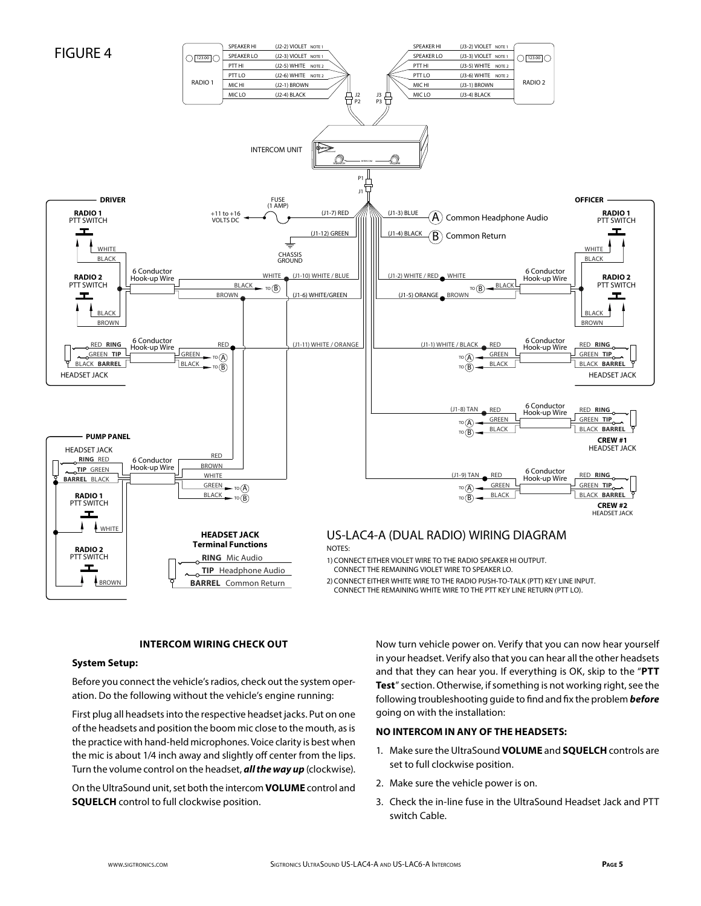

# **INTERCOM WIRING CHECK OUT**

#### **System Setup:**

Before you connect the vehicle's radios, check out the system operation. Do the following without the vehicle's engine running:

First plug all headsets into the respective headset jacks. Put on one of the headsets and position the boom mic close to the mouth, as is the practice with hand-held microphones. Voice clarity is best when the mic is about 1/4 inch away and slightly off center from the lips. Turn the volume control on the headset, *all the way up* (clockwise).

On the UltraSound unit, set both the intercom **VOLUME** control and **SQUELCH** control to full clockwise position.

Now turn vehicle power on. Verify that you can now hear yourself in your headset. Verify also that you can hear all the other headsets and that they can hear you. If everything is OK, skip to the "**PTT Test**" section. Otherwise, if something is not working right, see the following troubleshooting guide to find and fix the problem *before* going on with the installation:

# **NO INTERCOM IN ANY OF THE HEADSETS:**

- 1. Make sure the UltraSound **VOLUME** and **SQUELCH** controls are set to full clockwise position.
- 2. Make sure the vehicle power is on.
- 3. Check the in-line fuse in the UltraSound Headset Jack and PTT switch Cable.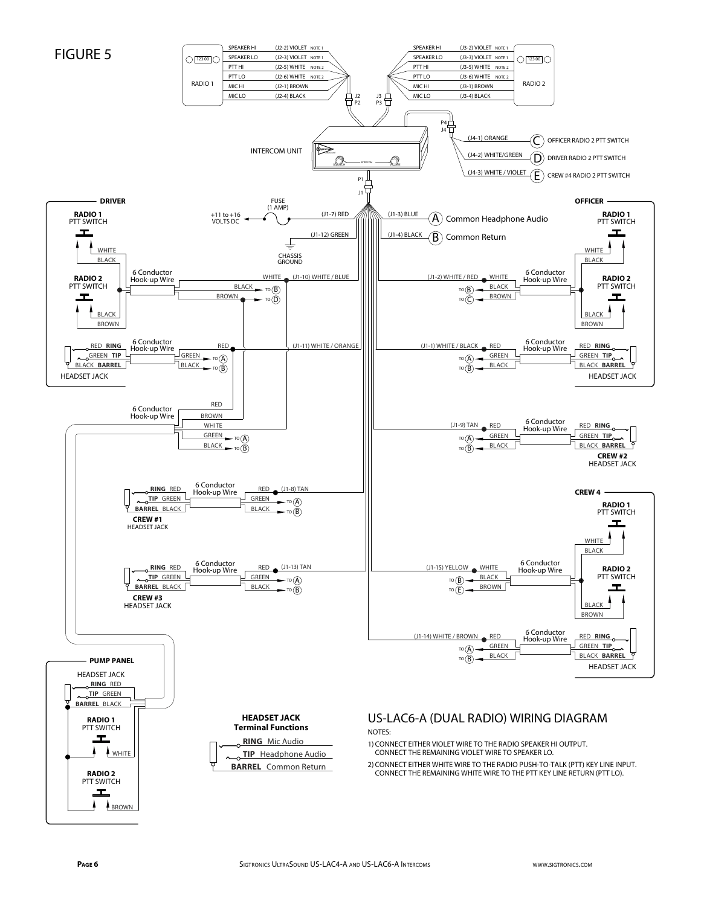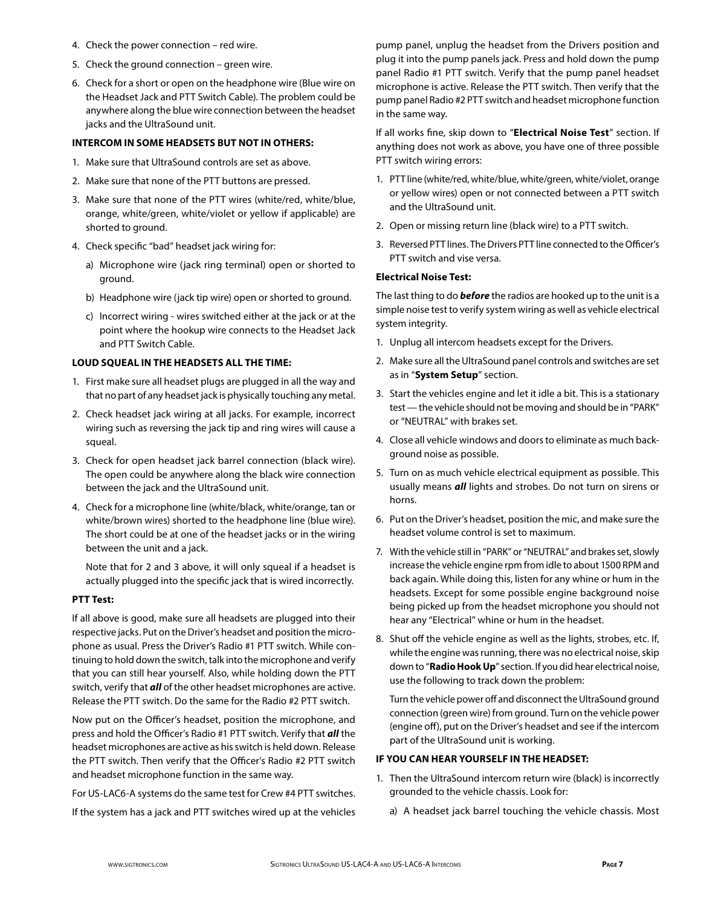- 4. Check the power connection red wire.
- 5. Check the ground connection green wire.
- 6. Check for a short or open on the headphone wire (Blue wire on the Headset Jack and PTT Switch Cable). The problem could be anywhere along the blue wire connection between the headset jacks and the UltraSound unit.

#### **INTERCOM IN SOME HEADSETS BUT NOT IN OTHERS:**

- 1. Make sure that UltraSound controls are set as above.
- 2. Make sure that none of the PTT buttons are pressed.
- 3. Make sure that none of the PTT wires (white/red, white/blue, orange, white/green, white/violet or yellow if applicable) are shorted to ground.
- 4. Check specific "bad" headset jack wiring for:
	- a) Microphone wire (jack ring terminal) open or shorted to ground.
	- b) Headphone wire (jack tip wire) open or shorted to ground.
	- c) Incorrect wiring wires switched either at the jack or at the point where the hookup wire connects to the Headset Jack and PTT Switch Cable.

#### **LOUD SQUEAL IN THE HEADSETS ALL THE TIME:**

- 1. First make sure all headset plugs are plugged in all the way and that no part of any headset jack is physically touching any metal.
- 2. Check headset jack wiring at all jacks. For example, incorrect wiring such as reversing the jack tip and ring wires will cause a squeal.
- 3. Check for open headset jack barrel connection (black wire). The open could be anywhere along the black wire connection between the jack and the UltraSound unit.
- 4. Check for a microphone line (white/black, white/orange, tan or white/brown wires) shorted to the headphone line (blue wire). The short could be at one of the headset jacks or in the wiring between the unit and a jack.

 Note that for 2 and 3 above, it will only squeal if a headset is actually plugged into the specific jack that is wired incorrectly.

## **PTT Test:**

If all above is good, make sure all headsets are plugged into their respective jacks. Put on the Driver's headset and position the microphone as usual. Press the Driver's Radio #1 PTT switch. While continuing to hold down the switch, talk into the microphone and verify that you can still hear yourself. Also, while holding down the PTT switch, verify that *all* of the other headset microphones are active. Release the PTT switch. Do the same for the Radio #2 PTT switch.

Now put on the Officer's headset, position the microphone, and press and hold the Officer's Radio #1 PTT switch. Verify that *all* the headset microphones are active as his switch is held down. Release the PTT switch. Then verify that the Officer's Radio #2 PTT switch and headset microphone function in the same way.

For US-LAC6-A systems do the same test for Crew #4 PTT switches.

If the system has a jack and PTT switches wired up at the vehicles

pump panel, unplug the headset from the Drivers position and plug it into the pump panels jack. Press and hold down the pump panel Radio #1 PTT switch. Verify that the pump panel headset microphone is active. Release the PTT switch. Then verify that the pump panel Radio #2 PTT switch and headset microphone function in the same way.

If all works fine, skip down to "**Electrical Noise Test**" section. If anything does not work as above, you have one of three possible PTT switch wiring errors:

- 1. PTT line (white/red, white/blue, white/green, white/violet, orange or yellow wires) open or not connected between a PTT switch and the UltraSound unit.
- 2. Open or missing return line (black wire) to a PTT switch.
- 3. Reversed PTT lines. The Drivers PTT line connected to the Officer's PTT switch and vise versa.

# **Electrical Noise Test:**

The last thing to do *before* the radios are hooked up to the unit is a simple noise test to verify system wiring as well as vehicle electrical system integrity.

- 1. Unplug all intercom headsets except for the Drivers.
- 2. Make sure all the UltraSound panel controls and switches are set as in "**System Setup**" section.
- 3. Start the vehicles engine and let it idle a bit. This is a stationary test — the vehicle should not be moving and should be in "PARK" or "NEUTRAL" with brakes set.
- 4. Close all vehicle windows and doors to eliminate as much background noise as possible.
- 5. Turn on as much vehicle electrical equipment as possible. This usually means *all* lights and strobes. Do not turn on sirens or horns.
- 6. Put on the Driver's headset, position the mic, and make sure the headset volume control is set to maximum.
- 7. With the vehicle still in "PARK" or "NEUTRAL" and brakes set, slowly increase the vehicle engine rpm from idle to about 1500 RPM and back again. While doing this, listen for any whine or hum in the headsets. Except for some possible engine background noise being picked up from the headset microphone you should not hear any "Electrical" whine or hum in the headset.
- 8. Shut off the vehicle engine as well as the lights, strobes, etc. If, while the engine was running, there was no electrical noise, skip down to "**Radio Hook Up**" section. If you did hear electrical noise, use the following to track down the problem:

 Turn the vehicle power off and disconnect the UltraSound ground connection (green wire) from ground. Turn on the vehicle power (engine off), put on the Driver's headset and see if the intercom part of the UltraSound unit is working.

# **IF YOU CAN HEAR YOURSELF IN THE HEADSET:**

- 1. Then the UltraSound intercom return wire (black) is incorrectly grounded to the vehicle chassis. Look for:
	- a) A headset jack barrel touching the vehicle chassis. Most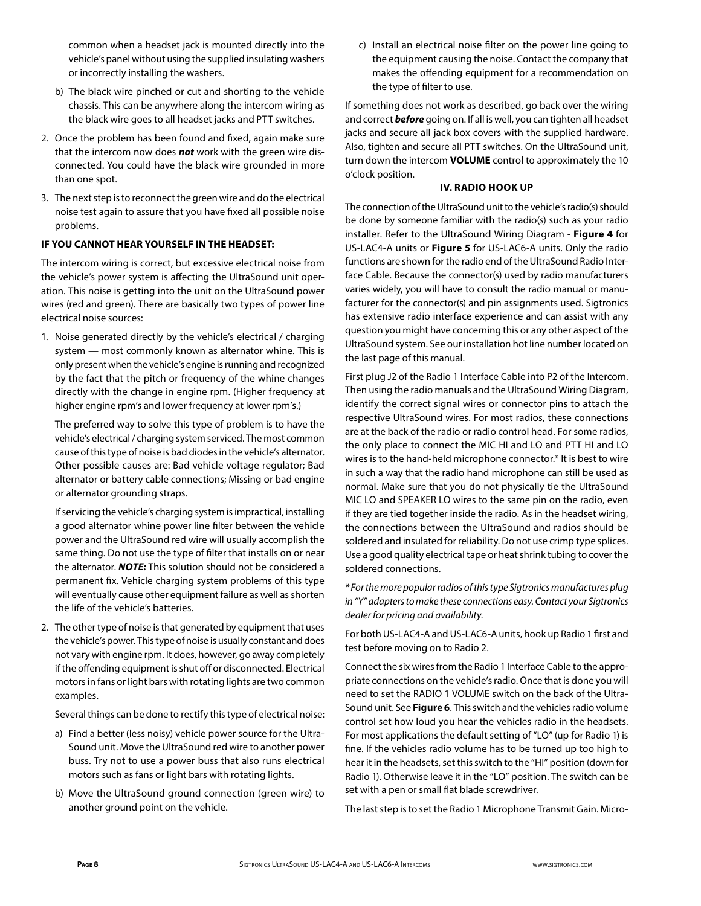common when a headset jack is mounted directly into the vehicle's panel without using the supplied insulating washers or incorrectly installing the washers.

- b) The black wire pinched or cut and shorting to the vehicle chassis. This can be anywhere along the intercom wiring as the black wire goes to all headset jacks and PTT switches.
- 2. Once the problem has been found and fixed, again make sure that the intercom now does *not* work with the green wire disconnected. You could have the black wire grounded in more than one spot.
- 3. The next step is to reconnect the green wire and do the electrical noise test again to assure that you have fixed all possible noise problems.

# **IF YOU CANNOT HEAR YOURSELF IN THE HEADSET:**

The intercom wiring is correct, but excessive electrical noise from the vehicle's power system is affecting the UltraSound unit operation. This noise is getting into the unit on the UltraSound power wires (red and green). There are basically two types of power line electrical noise sources:

1. Noise generated directly by the vehicle's electrical / charging system — most commonly known as alternator whine. This is only present when the vehicle's engine is running and recognized by the fact that the pitch or frequency of the whine changes directly with the change in engine rpm. (Higher frequency at higher engine rpm's and lower frequency at lower rpm's.)

 The preferred way to solve this type of problem is to have the vehicle's electrical / charging system serviced. The most common cause of this type of noise is bad diodes in the vehicle's alternator. Other possible causes are: Bad vehicle voltage regulator; Bad alternator or battery cable connections; Missing or bad engine or alternator grounding straps.

 If servicing the vehicle's charging system is impractical, installing a good alternator whine power line filter between the vehicle power and the UltraSound red wire will usually accomplish the same thing. Do not use the type of filter that installs on or near the alternator. *NOTE:* This solution should not be considered a permanent fix. Vehicle charging system problems of this type will eventually cause other equipment failure as well as shorten the life of the vehicle's batteries.

2. The other type of noise is that generated by equipment that uses the vehicle's power. This type of noise is usually constant and does not vary with engine rpm. It does, however, go away completely if the offending equipment is shut off or disconnected. Electrical motors in fans or light bars with rotating lights are two common examples.

Several things can be done to rectify this type of electrical noise:

- a) Find a better (less noisy) vehicle power source for the Ultra-Sound unit. Move the UltraSound red wire to another power buss. Try not to use a power buss that also runs electrical motors such as fans or light bars with rotating lights.
- b) Move the UltraSound ground connection (green wire) to another ground point on the vehicle.

c) Install an electrical noise filter on the power line going to the equipment causing the noise. Contact the company that makes the offending equipment for a recommendation on the type of filter to use.

If something does not work as described, go back over the wiring and correct *before* going on. If all is well, you can tighten all headset jacks and secure all jack box covers with the supplied hardware. Also, tighten and secure all PTT switches. On the UltraSound unit, turn down the intercom **VOLUME** control to approximately the 10 o'clock position.

# **IV. RADIO HOOK UP**

The connection of the UltraSound unit to the vehicle's radio(s) should be done by someone familiar with the radio(s) such as your radio installer. Refer to the UltraSound Wiring Diagram - **Figure 4** for US-LAC4-A units or **Figure 5** for US-LAC6-A units. Only the radio functions are shown for the radio end of the UltraSound Radio Interface Cable. Because the connector(s) used by radio manufacturers varies widely, you will have to consult the radio manual or manufacturer for the connector(s) and pin assignments used. Sigtronics has extensive radio interface experience and can assist with any question you might have concerning this or any other aspect of the UltraSound system. See our installation hot line number located on the last page of this manual.

First plug J2 of the Radio 1 Interface Cable into P2 of the Intercom. Then using the radio manuals and the UltraSound Wiring Diagram, identify the correct signal wires or connector pins to attach the respective UltraSound wires. For most radios, these connections are at the back of the radio or radio control head. For some radios, the only place to connect the MIC HI and LO and PTT HI and LO wires is to the hand-held microphone connector.\* It is best to wire in such a way that the radio hand microphone can still be used as normal. Make sure that you do not physically tie the UltraSound MIC LO and SPEAKER LO wires to the same pin on the radio, even if they are tied together inside the radio. As in the headset wiring, the connections between the UltraSound and radios should be soldered and insulated for reliability. Do not use crimp type splices. Use a good quality electrical tape or heat shrink tubing to cover the soldered connections.

*\* For the more popular radios of this type Sigtronics manufactures plug in "Y" adapters to make these connections easy. Contact your Sigtronics dealer for pricing and availability.*

For both US-LAC4-A and US-LAC6-A units, hook up Radio 1 first and test before moving on to Radio 2.

Connect the six wires from the Radio 1 Interface Cable to the appropriate connections on the vehicle's radio. Once that is done you will need to set the RADIO 1 VOLUME switch on the back of the Ultra-Sound unit. See **Figure 6**. This switch and the vehicles radio volume control set how loud you hear the vehicles radio in the headsets. For most applications the default setting of "LO" (up for Radio 1) is fine. If the vehicles radio volume has to be turned up too high to hear it in the headsets, set this switch to the "HI" position (down for Radio 1). Otherwise leave it in the "LO" position. The switch can be set with a pen or small flat blade screwdriver.

The last step is to set the Radio 1 Microphone Transmit Gain. Micro-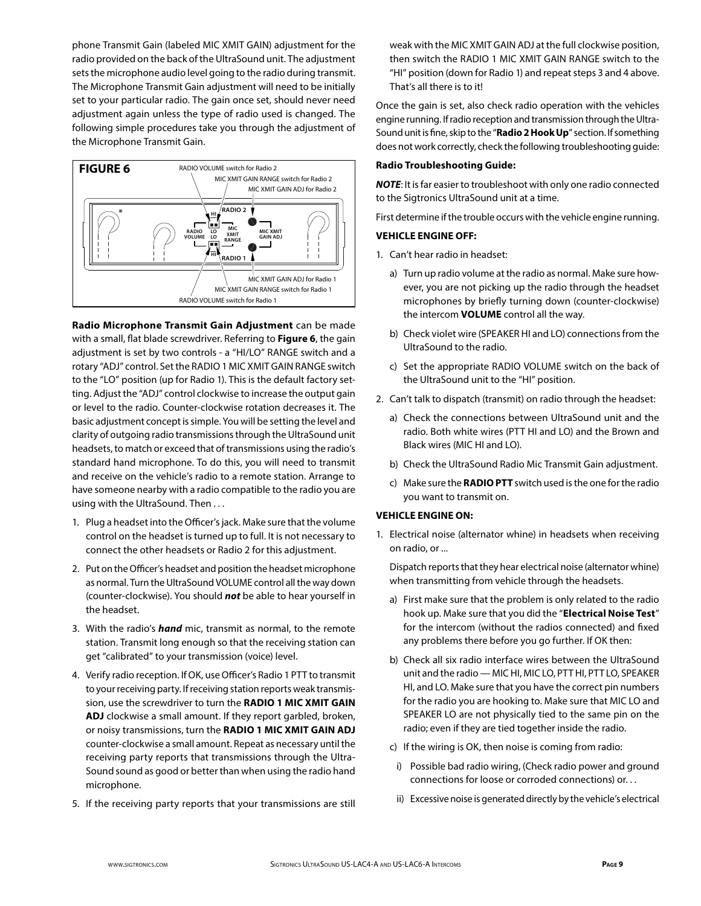phone Transmit Gain (labeled MIC XMIT GAIN) adjustment for the radio provided on the back of the UltraSound unit. The adjustment sets the microphone audio level going to the radio during transmit. The Microphone Transmit Gain adjustment will need to be initially set to your particular radio. The gain once set, should never need adjustment again unless the type of radio used is changed. The following simple procedures take you through the adjustment of the Microphone Transmit Gain.



**Radio Microphone Transmit Gain Adjustment** can be made with a small, flat blade screwdriver. Referring to **Figure 6**, the gain adjustment is set by two controls - a "HI/LO" RANGE switch and a rotary "ADJ" control. Set the RADIO 1 MIC XMIT GAIN RANGE switch to the "LO" position (up for Radio 1). This is the default factory setting. Adjust the "ADJ" control clockwise to increase the output gain or level to the radio. Counter-clockwise rotation decreases it. The basic adjustment concept is simple. You will be setting the level and clarity of outgoing radio transmissions through the UltraSound unit headsets, to match or exceed that of transmissions using the radio's standard hand microphone. To do this, you will need to transmit and receive on the vehicle's radio to a remote station. Arrange to have someone nearby with a radio compatible to the radio you are using with the UltraSound. Then . . .

- 1. Plug a headset into the Officer's jack. Make sure that the volume control on the headset is turned up to full. It is not necessary to connect the other headsets or Radio 2 for this adjustment.
- 2. Put on the Officer's headset and position the headset microphone as normal. Turn the UltraSound VOLUME control all the way down (counter-clockwise). You should *not* be able to hear yourself in the headset.
- 3. With the radio's *hand* mic, transmit as normal, to the remote station. Transmit long enough so that the receiving station can get "calibrated" to your transmission (voice) level.
- 4. Verify radio reception. If OK, use Officer's Radio 1 PTT to transmit to your receiving party. If receiving station reports weak transmission, use the screwdriver to turn the **RADIO 1 MIC XMIT GAIN ADJ** clockwise a small amount. If they report garbled, broken, or noisy transmissions, turn the **RADIO 1 MIC XMIT GAIN ADJ** counter-clockwise a small amount. Repeat as necessary until the receiving party reports that transmissions through the Ultra-Sound sound as good or better than when using the radio hand microphone.
- 5. If the receiving party reports that your transmissions are still

weak with the MIC XMIT GAIN ADJ at the full clockwise position, then switch the RADIO 1 MIC XMIT GAIN RANGE switch to the "HI" position (down for Radio 1) and repeat steps 3 and 4 above. That's all there is to it!

Once the gain is set, also check radio operation with the vehicles engine running. If radio reception and transmission through the Ultra-Sound unit is fine, skip to the "**Radio 2 Hook Up**" section. If something does not work correctly, check the following troubleshooting guide:

# **Radio Troubleshooting Guide:**

*NOTE*: It is far easier to troubleshoot with only one radio connected to the Sigtronics UltraSound unit at a time.

First determine if the trouble occurs with the vehicle engine running.

# **VEHICLE ENGINE OFF:**

- 1. Can't hear radio in headset:
	- a) Turn up radio volume at the radio as normal. Make sure however, you are not picking up the radio through the headset microphones by briefly turning down (counter-clockwise) the intercom **VOLUME** control all the way.
	- b) Check violet wire (SPEAKER HI and LO) connections from the UltraSound to the radio.
	- c) Set the appropriate RADIO VOLUME switch on the back of the UltraSound unit to the "HI" position.
- 2. Can't talk to dispatch (transmit) on radio through the headset:
	- a) Check the connections between UltraSound unit and the radio. Both white wires (PTT HI and LO) and the Brown and Black wires (MIC HI and LO).
	- b) Check the UltraSound Radio Mic Transmit Gain adjustment.
	- c) Make sure the **RADIO PTT** switch used is the one for the radio you want to transmit on.

# **VEHICLE ENGINE ON:**

1. Electrical noise (alternator whine) in headsets when receiving on radio, or ...

 Dispatch reports that they hear electrical noise (alternator whine) when transmitting from vehicle through the headsets.

- a) First make sure that the problem is only related to the radio hook up. Make sure that you did the "**Electrical Noise Test**" for the intercom (without the radios connected) and fixed any problems there before you go further. If OK then:
- b) Check all six radio interface wires between the UltraSound unit and the radio — MIC HI, MIC LO, PTT HI, PTT LO, SPEAKER HI, and LO. Make sure that you have the correct pin numbers for the radio you are hooking to. Make sure that MIC LO and SPEAKER LO are not physically tied to the same pin on the radio; even if they are tied together inside the radio.
- c) If the wiring is OK, then noise is coming from radio:
- i) Possible bad radio wiring, (Check radio power and ground connections for loose or corroded connections) or. . .
- ii) Excessive noise is generated directly by the vehicle's electrical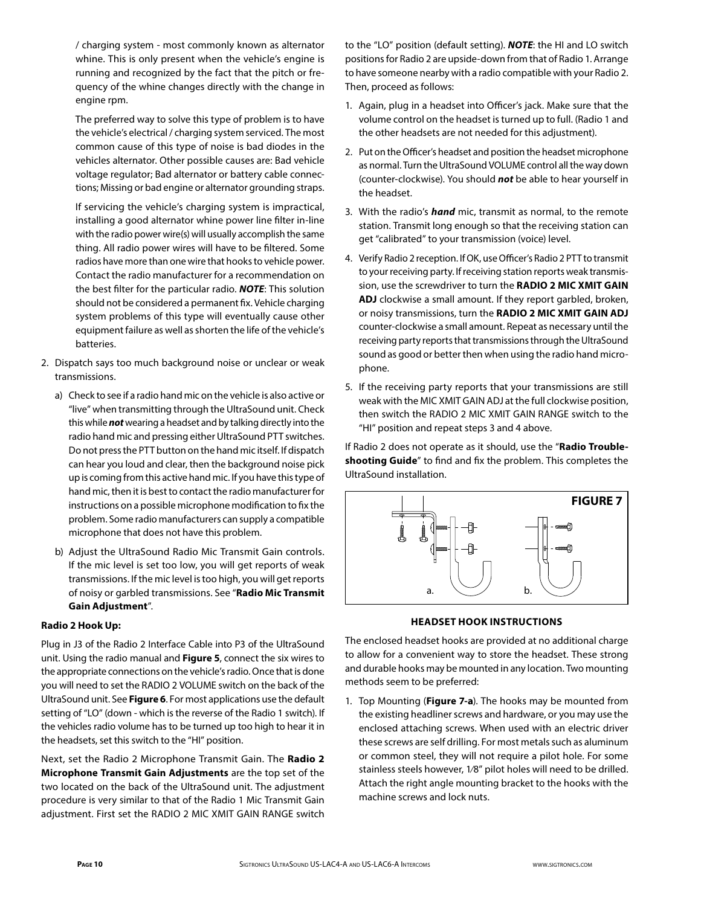/ charging system - most commonly known as alternator whine. This is only present when the vehicle's engine is running and recognized by the fact that the pitch or frequency of the whine changes directly with the change in engine rpm.

 The preferred way to solve this type of problem is to have the vehicle's electrical / charging system serviced. The most common cause of this type of noise is bad diodes in the vehicles alternator. Other possible causes are: Bad vehicle voltage regulator; Bad alternator or battery cable connections; Missing or bad engine or alternator grounding straps.

 If servicing the vehicle's charging system is impractical, installing a good alternator whine power line filter in-line with the radio power wire(s) will usually accomplish the same thing. All radio power wires will have to be filtered. Some radios have more than one wire that hooks to vehicle power. Contact the radio manufacturer for a recommendation on the best filter for the particular radio. *NOTE*: This solution should not be considered a permanent fix. Vehicle charging system problems of this type will eventually cause other equipment failure as well as shorten the life of the vehicle's batteries.

- 2. Dispatch says too much background noise or unclear or weak transmissions.
	- a) Check to see if a radio hand mic on the vehicle is also active or "live" when transmitting through the UltraSound unit. Check this while *not* wearing a headset and by talking directly into the radio hand mic and pressing either UltraSound PTT switches. Do not press the PTT button on the hand mic itself. If dispatch can hear you loud and clear, then the background noise pick up is coming from this active hand mic. If you have this type of hand mic, then it is best to contact the radio manufacturer for instructions on a possible microphone modification to fix the problem. Some radio manufacturers can supply a compatible microphone that does not have this problem.
	- b) Adjust the UltraSound Radio Mic Transmit Gain controls. If the mic level is set too low, you will get reports of weak transmissions. If the mic level is too high, you will get reports of noisy or garbled transmissions. See "**Radio Mic Transmit Gain Adjustment**".

# **Radio 2 Hook Up:**

Plug in J3 of the Radio 2 Interface Cable into P3 of the UltraSound unit. Using the radio manual and **Figure 5**, connect the six wires to the appropriate connections on the vehicle's radio. Once that is done you will need to set the RADIO 2 VOLUME switch on the back of the UltraSound unit. See **Figure 6**. For most applications use the default setting of "LO" (down - which is the reverse of the Radio 1 switch). If the vehicles radio volume has to be turned up too high to hear it in the headsets, set this switch to the "HI" position.

Next, set the Radio 2 Microphone Transmit Gain. The **Radio 2 Microphone Transmit Gain Adjustments** are the top set of the two located on the back of the UltraSound unit. The adjustment procedure is very similar to that of the Radio 1 Mic Transmit Gain adjustment. First set the RADIO 2 MIC XMIT GAIN RANGE switch

to the "LO" position (default setting). *NOTE*: the HI and LO switch positions for Radio 2 are upside-down from that of Radio 1. Arrange to have someone nearby with a radio compatible with your Radio 2. Then, proceed as follows:

- 1. Again, plug in a headset into Officer's jack. Make sure that the volume control on the headset is turned up to full. (Radio 1 and the other headsets are not needed for this adjustment).
- 2. Put on the Officer's headset and position the headset microphone as normal. Turn the UltraSound VOLUME control all the way down (counter-clockwise). You should *not* be able to hear yourself in the headset.
- 3. With the radio's *hand* mic, transmit as normal, to the remote station. Transmit long enough so that the receiving station can get "calibrated" to your transmission (voice) level.
- 4. Verify Radio 2 reception. If OK, use Officer's Radio 2 PTT to transmit to your receiving party. If receiving station reports weak transmission, use the screwdriver to turn the **RADIO 2 MIC XMIT GAIN ADJ** clockwise a small amount. If they report garbled, broken, or noisy transmissions, turn the **RADIO 2 MIC XMIT GAIN ADJ** counter-clockwise a small amount. Repeat as necessary until the receiving party reports that transmissions through the UltraSound sound as good or better then when using the radio hand microphone.
- 5. If the receiving party reports that your transmissions are still weak with the MIC XMIT GAIN ADJ at the full clockwise position, then switch the RADIO 2 MIC XMIT GAIN RANGE switch to the "HI" position and repeat steps 3 and 4 above.

If Radio 2 does not operate as it should, use the "**Radio Troubleshooting Guide**" to find and fix the problem. This completes the UltraSound installation.



# **HEADSET HOOK INSTRUCTIONS**

The enclosed headset hooks are provided at no additional charge to allow for a convenient way to store the headset. These strong and durable hooks may be mounted in any location. Two mounting methods seem to be preferred:

1. Top Mounting (**Figure 7-a**). The hooks may be mounted from the existing headliner screws and hardware, or you may use the enclosed attaching screws. When used with an electric driver these screws are self drilling. For most metals such as aluminum or common steel, they will not require a pilot hole. For some stainless steels however, 1⁄8" pilot holes will need to be drilled. Attach the right angle mounting bracket to the hooks with the machine screws and lock nuts.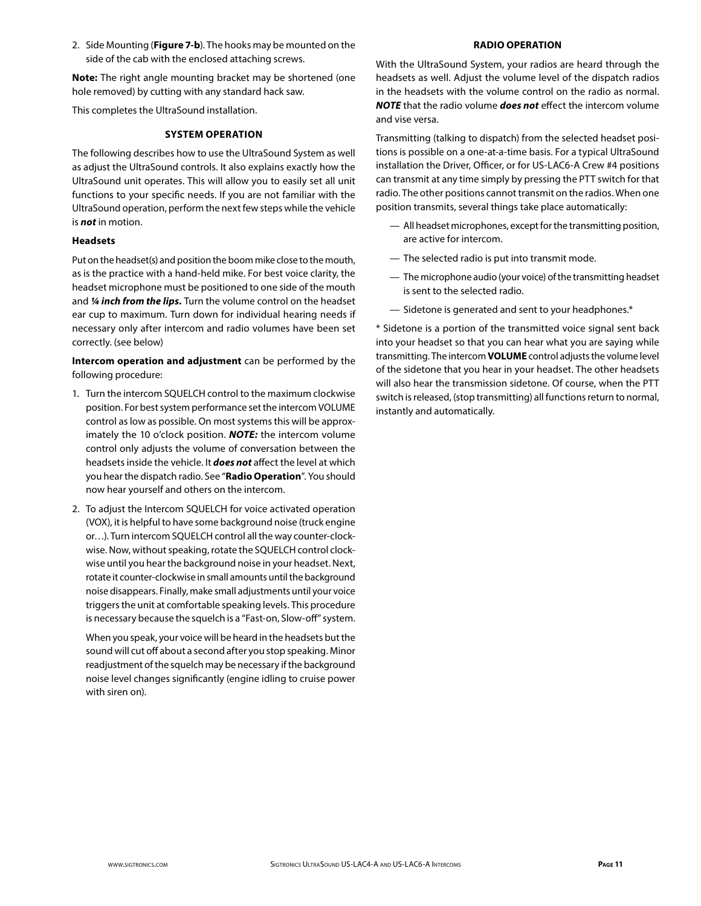2. Side Mounting (**Figure 7-b**). The hooks may be mounted on the side of the cab with the enclosed attaching screws.

**Note:** The right angle mounting bracket may be shortened (one hole removed) by cutting with any standard hack saw.

This completes the UltraSound installation.

#### **SYSTEM OPERATION**

The following describes how to use the UltraSound System as well as adjust the UltraSound controls. It also explains exactly how the UltraSound unit operates. This will allow you to easily set all unit functions to your specific needs. If you are not familiar with the UltraSound operation, perform the next few steps while the vehicle is *not* in motion.

# **Headsets**

Put on the headset(s) and position the boom mike close to the mouth, as is the practice with a hand-held mike. For best voice clarity, the headset microphone must be positioned to one side of the mouth and *¼ inch from the lips.* Turn the volume control on the headset ear cup to maximum. Turn down for individual hearing needs if necessary only after intercom and radio volumes have been set correctly. (see below)

**Intercom operation and adjustment** can be performed by the following procedure:

- 1. Turn the intercom SQUELCH control to the maximum clockwise position. For best system performance set the intercom VOLUME control as low as possible. On most systems this will be approximately the 10 o'clock position. *NOTE:* the intercom volume control only adjusts the volume of conversation between the headsets inside the vehicle. It *does not* affect the level at which you hear the dispatch radio. See "**Radio Operation**". You should now hear yourself and others on the intercom.
- 2. To adjust the Intercom SQUELCH for voice activated operation (VOX), it is helpful to have some background noise (truck engine or…). Turn intercom SQUELCH control all the way counter-clockwise. Now, without speaking, rotate the SQUELCH control clockwise until you hear the background noise in your headset. Next, rotate it counter-clockwise in small amounts until the background noise disappears. Finally, make small adjustments until your voice triggers the unit at comfortable speaking levels. This procedure is necessary because the squelch is a "Fast-on, Slow-off" system.

 When you speak, your voice will be heard in the headsets but the sound will cut off about a second after you stop speaking. Minor readjustment of the squelch may be necessary if the background noise level changes significantly (engine idling to cruise power with siren on).

# **RADIO OPERATION**

With the UltraSound System, your radios are heard through the headsets as well. Adjust the volume level of the dispatch radios in the headsets with the volume control on the radio as normal. *NOTE* that the radio volume *does not* effect the intercom volume and vise versa.

Transmitting (talking to dispatch) from the selected headset positions is possible on a one-at-a-time basis. For a typical UltraSound installation the Driver, Officer, or for US-LAC6-A Crew #4 positions can transmit at any time simply by pressing the PTT switch for that radio. The other positions cannot transmit on the radios. When one position transmits, several things take place automatically:

- All headset microphones, except for the transmitting position, are active for intercom.
- The selected radio is put into transmit mode.
- The microphone audio (your voice) of the transmitting headset is sent to the selected radio.
- Sidetone is generated and sent to your headphones.\*

\* Sidetone is a portion of the transmitted voice signal sent back into your headset so that you can hear what you are saying while transmitting. The intercom **VOLUME** control adjusts the volume level of the sidetone that you hear in your headset. The other headsets will also hear the transmission sidetone. Of course, when the PTT switch is released, (stop transmitting) all functions return to normal, instantly and automatically.